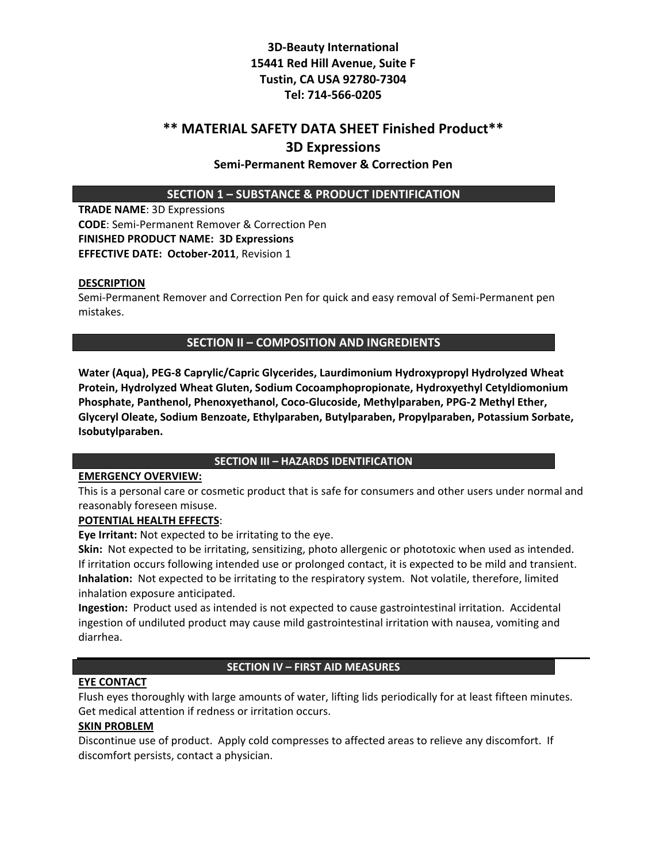# **\*\* MATERIAL SAFETY DATA SHEET Finished Product\*\* 3D Expressions Semi‐Permanent Remover & Correction Pen**

### **SECTION 1 – SUBSTANCE & PRODUCT IDENTIFICATION**

**TRADE NAME**: 3D Expressions **CODE**: Semi‐Permanent Remover & Correction Pen **FINISHED PRODUCT NAME: 3D Expressions EFFECTIVE DATE: October‐2011**, Revision 1

#### **DESCRIPTION**

Semi‐Permanent Remover and Correction Pen for quick and easy removal of Semi‐Permanent pen mistakes.

### **SECTION II – COMPOSITION AND INGREDIENTS**

**Water (Aqua), PEG‐8 Caprylic/Capric Glycerides, Laurdimonium Hydroxypropyl Hydrolyzed Wheat Protein, Hydrolyzed Wheat Gluten, Sodium Cocoamphopropionate, Hydroxyethyl Cetyldiomonium Phosphate, Panthenol, Phenoxyethanol, Coco‐Glucoside, Methylparaben, PPG‐2 Methyl Ether, Glyceryl Oleate, Sodium Benzoate, Ethylparaben, Butylparaben, Propylparaben, Potassium Sorbate, Isobutylparaben.**

#### **SECTION III – HAZARDS IDENTIFICATION**

#### **EMERGENCY OVERVIEW:**

This is a personal care or cosmetic product that is safe for consumers and other users under normal and reasonably foreseen misuse.

#### **POTENTIAL HEALTH EFFECTS**:

**Eye Irritant:** Not expected to be irritating to the eye.

**Skin:** Not expected to be irritating, sensitizing, photo allergenic or phototoxic when used as intended. If irritation occurs following intended use or prolonged contact, it is expected to be mild and transient. **Inhalation:** Not expected to be irritating to the respiratory system. Not volatile, therefore, limited inhalation exposure anticipated.

**Ingestion:** Product used as intended is not expected to cause gastrointestinal irritation. Accidental ingestion of undiluted product may cause mild gastrointestinal irritation with nausea, vomiting and diarrhea.

#### **SECTION IV – FIRST AID MEASURES**

### **EYE CONTACT**

Flush eyes thoroughly with large amounts of water, lifting lids periodically for at least fifteen minutes. Get medical attention if redness or irritation occurs.

#### **SKIN PROBLEM**

Discontinue use of product. Apply cold compresses to affected areas to relieve any discomfort. If discomfort persists, contact a physician.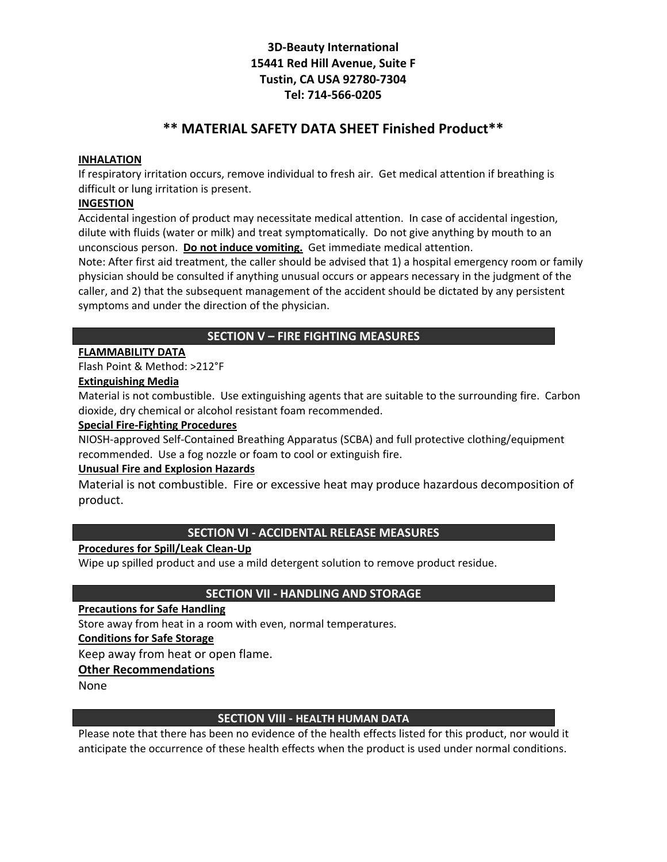# **\*\* MATERIAL SAFETY DATA SHEET Finished Product\*\***

#### **INHALATION**

If respiratory irritation occurs, remove individual to fresh air. Get medical attention if breathing is difficult or lung irritation is present.

#### **INGESTION**

Accidental ingestion of product may necessitate medical attention. In case of accidental ingestion, dilute with fluids (water or milk) and treat symptomatically. Do not give anything by mouth to an unconscious person. **Do not induce vomiting.** Get immediate medical attention.

Note: After first aid treatment, the caller should be advised that 1) a hospital emergency room or family physician should be consulted if anything unusual occurs or appears necessary in the judgment of the caller, and 2) that the subsequent management of the accident should be dictated by any persistent symptoms and under the direction of the physician.

## **SECTION V – FIRE FIGHTING MEASURES**

### **FLAMMABILITY DATA**

Flash Point & Method: >212°F

### **Extinguishing Media**

Material is not combustible. Use extinguishing agents that are suitable to the surrounding fire. Carbon dioxide, dry chemical or alcohol resistant foam recommended.

#### **Special Fire‐Fighting Procedures**

NIOSH‐approved Self‐Contained Breathing Apparatus (SCBA) and full protective clothing/equipment recommended. Use a fog nozzle or foam to cool or extinguish fire.

#### **Unusual Fire and Explosion Hazards**

Material is not combustible. Fire or excessive heat may produce hazardous decomposition of product.

## **SECTION VI ‐ ACCIDENTAL RELEASE MEASURES**

#### **Procedures for Spill/Leak Clean‐Up**

Wipe up spilled product and use a mild detergent solution to remove product residue.

## **SECTION VII ‐ HANDLING AND STORAGE**

### **Precautions for Safe Handling**

Store away from heat in a room with even, normal temperatures.

## **Conditions for Safe Storage**

Keep away from heat or open flame.

## **Other Recommendations**

None

## **SECTION VIII ‐ HEALTH HUMAN DATA**

Please note that there has been no evidence of the health effects listed for this product, nor would it anticipate the occurrence of these health effects when the product is used under normal conditions.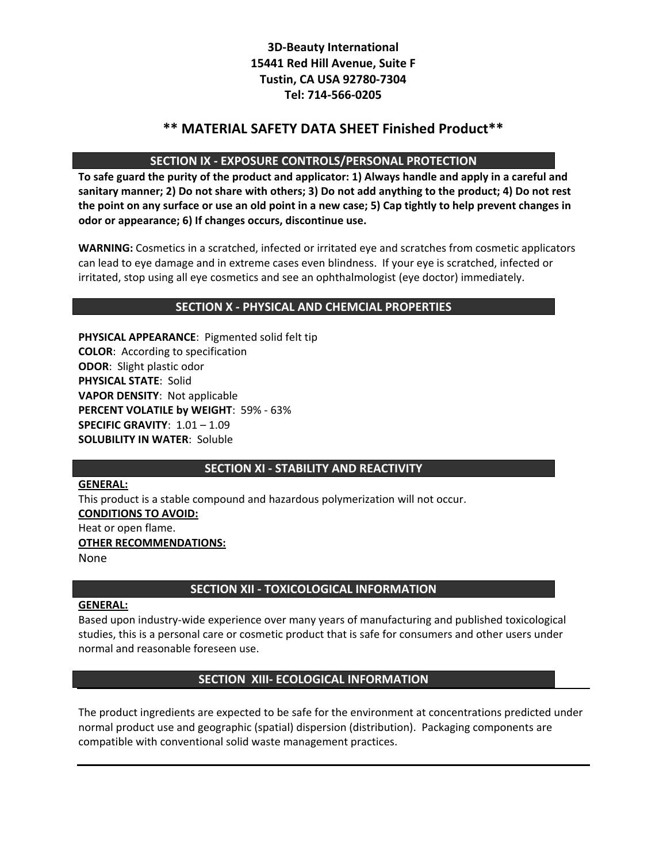# **\*\* MATERIAL SAFETY DATA SHEET Finished Product\*\***

## **SECTION IX ‐ EXPOSURE CONTROLS/PERSONAL PROTECTION**

To safe guard the purity of the product and applicator: 1) Always handle and apply in a careful and sanitary manner; 2) Do not share with others; 3) Do not add anything to the product; 4) Do not rest the point on any surface or use an old point in a new case; 5) Cap tightly to help prevent changes in **odor or appearance; 6) If changes occurs, discontinue use.**

**WARNING:** Cosmetics in a scratched, infected or irritated eye and scratches from cosmetic applicators can lead to eye damage and in extreme cases even blindness. If your eye is scratched, infected or irritated, stop using all eye cosmetics and see an ophthalmologist (eye doctor) immediately.

## **SECTION X ‐ PHYSICAL AND CHEMCIAL PROPERTIES**

**PHYSICAL APPEARANCE**: Pigmented solid felt tip **COLOR**: According to specification **ODOR**: Slight plastic odor **PHYSICAL STATE**: Solid **VAPOR DENSITY**: Not applicable **PERCENT VOLATILE by WEIGHT**: 59% ‐ 63% **SPECIFIC GRAVITY**: 1.01 – 1.09 **SOLUBILITY IN WATER**: Soluble

#### **SECTION XI ‐ STABILITY AND REACTIVITY**

**GENERAL:**

This product is a stable compound and hazardous polymerization will not occur. **CONDITIONS TO AVOID:** Heat or open flame. **OTHER RECOMMENDATIONS:** None

**SECTION XII ‐ TOXICOLOGICAL INFORMATION**

#### **GENERAL:**

Based upon industry‐wide experience over many years of manufacturing and published toxicological studies, this is a personal care or cosmetic product that is safe for consumers and other users under normal and reasonable foreseen use.

## **SECTION XIII‐ ECOLOGICAL INFORMATION**

The product ingredients are expected to be safe for the environment at concentrations predicted under normal product use and geographic (spatial) dispersion (distribution). Packaging components are compatible with conventional solid waste management practices.